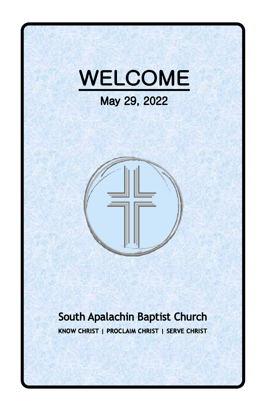



## South Apalachin Baptist Church KNOW CHRIST | PROCLAIM CHRIST | SERVE CHRIST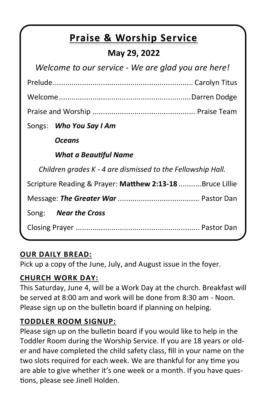# **Praise & Worship Service**

### **May 29, 2022**

| Welcome to our service - We are glad you are here!          |  |  |
|-------------------------------------------------------------|--|--|
|                                                             |  |  |
|                                                             |  |  |
|                                                             |  |  |
| Songs: Who You Say I Am                                     |  |  |
| Oceans                                                      |  |  |
| <b>What a Beautiful Name</b>                                |  |  |
| Children grades K - 4 are dismissed to the Fellowship Hall. |  |  |
| Scripture Reading & Prayer: Matthew 2:13-18 Bruce Lillie    |  |  |
|                                                             |  |  |
| Song: <b>Near the Cross</b>                                 |  |  |
|                                                             |  |  |

#### **OUR DAILY BREAD:**

Pick up a copy of the June, July, and August issue in the foyer.

#### **CHURCH WORK DAY:**

This Saturday, June 4, will be a Work Day at the church. Breakfast will be served at 8:00 am and work will be done from 8:30 am - Noon. Please sign up on the bulletin board if planning on helping.

#### **TODDLER ROOM SIGNUP:**

Please sign up on the bulletin board if you would like to help in the Toddler Room during the Worship Service. If you are 18 years or older and have completed the child safety class, fill in your name on the two slots required for each week. We are thankful for any time you are able to give whether it's one week or a month. If you have questions, please see Jinell Holden.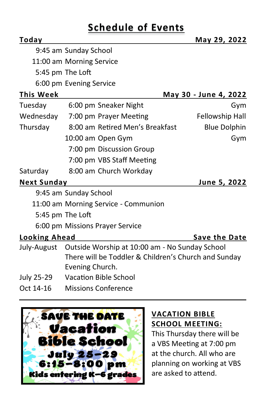## **Schedule of Events**

| Today                |                                                            | May 29, 2022          |
|----------------------|------------------------------------------------------------|-----------------------|
|                      | 9:45 am Sunday School                                      |                       |
|                      | 11:00 am Morning Service                                   |                       |
|                      | 5:45 pm The Loft                                           |                       |
|                      | 6:00 pm Evening Service                                    |                       |
| <b>This Week</b>     |                                                            | May 30 - June 4, 2022 |
| Tuesday              | 6:00 pm Sneaker Night                                      | Gym                   |
| Wednesday            | 7:00 pm Prayer Meeting                                     | Fellowship Hall       |
| Thursday             | 8:00 am Retired Men's Breakfast                            | <b>Blue Dolphin</b>   |
|                      | 10:00 am Open Gym                                          | Gym                   |
|                      | 7:00 pm Discussion Group                                   |                       |
|                      | 7:00 pm VBS Staff Meeting                                  |                       |
| Saturday             | 8:00 am Church Workday                                     |                       |
| <b>Next Sunday</b>   |                                                            | June 5, 2022          |
|                      | 9:45 am Sunday School                                      |                       |
|                      | 11:00 am Morning Service - Communion                       |                       |
|                      | 5:45 pm The Loft                                           |                       |
|                      | 6:00 pm Missions Prayer Service                            |                       |
| <b>Looking Ahead</b> |                                                            | <b>Save the Date</b>  |
|                      | July-August Outside Worship at 10:00 am - No Sunday School |                       |
|                      | There will be Toddler & Children's Church and Sunday       |                       |
|                      | Evening Church.                                            |                       |
| July 25-29           | <b>Vacation Bible School</b>                               |                       |
| Oct 14-16            | <b>Missions Conference</b>                                 |                       |



#### **VACATION BIBLE SCHOOL MEETING:**

This Thursday there will be a VBS Meeting at 7:00 pm at the church. All who are planning on working at VBS are asked to attend.